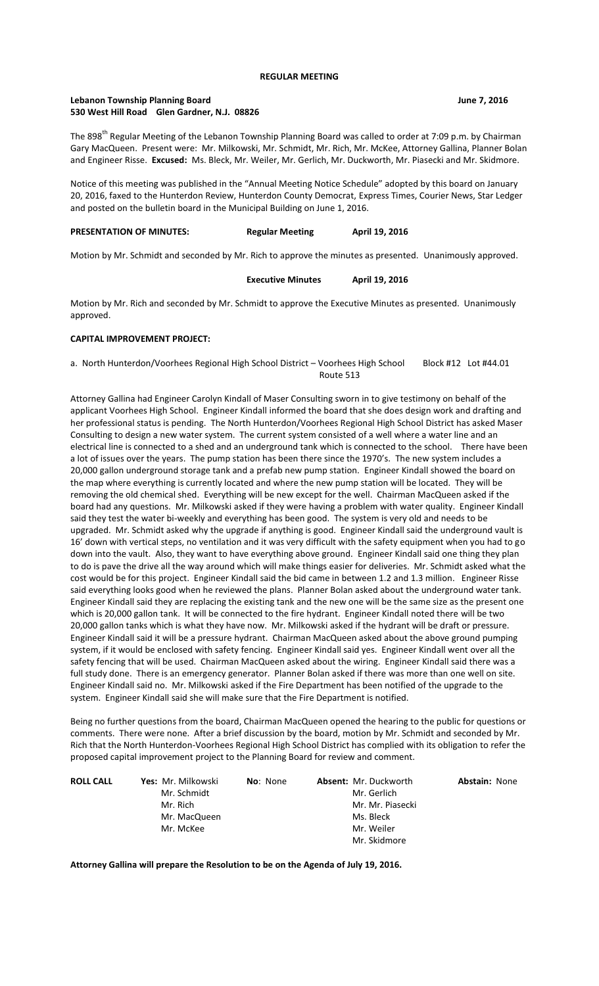#### **REGULAR MEETING**

# **Lebanon Township Planning Board June 7, 2016 530 West Hill Road Glen Gardner, N.J. 08826**

The 898<sup>th</sup> Regular Meeting of the Lebanon Township Planning Board was called to order at 7:09 p.m. by Chairman Gary MacQueen. Present were: Mr. Milkowski, Mr. Schmidt, Mr. Rich, Mr. McKee, Attorney Gallina, Planner Bolan and Engineer Risse. **Excused:** Ms. Bleck, Mr. Weiler, Mr. Gerlich, Mr. Duckworth, Mr. Piasecki and Mr. Skidmore.

Notice of this meeting was published in the "Annual Meeting Notice Schedule" adopted by this board on January 20, 2016, faxed to the Hunterdon Review, Hunterdon County Democrat, Express Times, Courier News, Star Ledger and posted on the bulletin board in the Municipal Building on June 1, 2016.

# **PRESENTATION OF MINUTES: Regular Meeting April 19, 2016**

Motion by Mr. Schmidt and seconded by Mr. Rich to approve the minutes as presented. Unanimously approved.

| <b>Executive Minutes</b> | April 19, 2016 |
|--------------------------|----------------|
|                          |                |

Motion by Mr. Rich and seconded by Mr. Schmidt to approve the Executive Minutes as presented. Unanimously approved.

## **CAPITAL IMPROVEMENT PROJECT:**

a. North Hunterdon/Voorhees Regional High School District – Voorhees High School Block #12 Lot #44.01 Route 513

Attorney Gallina had Engineer Carolyn Kindall of Maser Consulting sworn in to give testimony on behalf of the applicant Voorhees High School. Engineer Kindall informed the board that she does design work and drafting and her professional status is pending. The North Hunterdon/Voorhees Regional High School District has asked Maser Consulting to design a new water system. The current system consisted of a well where a water line and an electrical line is connected to a shed and an underground tank which is connected to the school. There have been a lot of issues over the years. The pump station has been there since the 1970's. The new system includes a 20,000 gallon underground storage tank and a prefab new pump station. Engineer Kindall showed the board on the map where everything is currently located and where the new pump station will be located. They will be removing the old chemical shed. Everything will be new except for the well. Chairman MacQueen asked if the board had any questions. Mr. Milkowski asked if they were having a problem with water quality. Engineer Kindall said they test the water bi-weekly and everything has been good. The system is very old and needs to be upgraded. Mr. Schmidt asked why the upgrade if anything is good. Engineer Kindall said the underground vault is 16' down with vertical steps, no ventilation and it was very difficult with the safety equipment when you had to go down into the vault. Also, they want to have everything above ground. Engineer Kindall said one thing they plan to do is pave the drive all the way around which will make things easier for deliveries. Mr. Schmidt asked what the cost would be for this project. Engineer Kindall said the bid came in between 1.2 and 1.3 million. Engineer Risse said everything looks good when he reviewed the plans. Planner Bolan asked about the underground water tank. Engineer Kindall said they are replacing the existing tank and the new one will be the same size as the present one which is 20,000 gallon tank. It will be connected to the fire hydrant. Engineer Kindall noted there will be two 20,000 gallon tanks which is what they have now. Mr. Milkowski asked if the hydrant will be draft or pressure. Engineer Kindall said it will be a pressure hydrant. Chairman MacQueen asked about the above ground pumping system, if it would be enclosed with safety fencing. Engineer Kindall said yes. Engineer Kindall went over all the safety fencing that will be used. Chairman MacQueen asked about the wiring. Engineer Kindall said there was a full study done. There is an emergency generator. Planner Bolan asked if there was more than one well on site. Engineer Kindall said no. Mr. Milkowski asked if the Fire Department has been notified of the upgrade to the system. Engineer Kindall said she will make sure that the Fire Department is notified.

Being no further questions from the board, Chairman MacQueen opened the hearing to the public for questions or comments. There were none. After a brief discussion by the board, motion by Mr. Schmidt and seconded by Mr. Rich that the North Hunterdon-Voorhees Regional High School District has complied with its obligation to refer the proposed capital improvement project to the Planning Board for review and comment.

| <b>ROLL CALL</b> | <b>Yes:</b> Mr. Milkowski | <b>No</b> : None | <b>Absent: Mr. Duckworth</b> | <b>Abstain: None</b> |
|------------------|---------------------------|------------------|------------------------------|----------------------|
|                  | Mr. Schmidt               |                  | Mr. Gerlich                  |                      |
|                  | Mr. Rich                  |                  | Mr. Mr. Piasecki             |                      |
|                  | Mr. MacQueen              |                  | Ms. Bleck                    |                      |
|                  | Mr. McKee                 |                  | Mr. Weiler                   |                      |
|                  |                           |                  | Mr. Skidmore                 |                      |

**Attorney Gallina will prepare the Resolution to be on the Agenda of July 19, 2016.**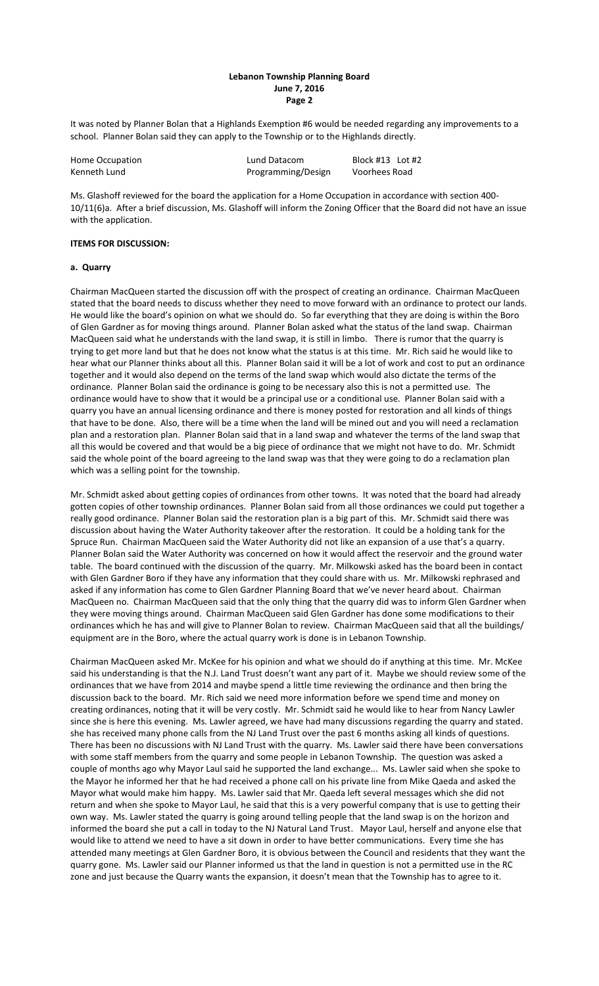### **Lebanon Township Planning Board June 7, 2016 Page 2**

It was noted by Planner Bolan that a Highlands Exemption #6 would be needed regarding any improvements to a school. Planner Bolan said they can apply to the Township or to the Highlands directly.

| Home Occupation | Lund Datacom       | Block #13 Lot #2 |
|-----------------|--------------------|------------------|
| Kenneth Lund    | Programming/Design | Voorhees Road    |

Ms. Glashoff reviewed for the board the application for a Home Occupation in accordance with section 400- 10/11(6)a. After a brief discussion, Ms. Glashoff will inform the Zoning Officer that the Board did not have an issue with the application.

# **ITEMS FOR DISCUSSION:**

# **a. Quarry**

Chairman MacQueen started the discussion off with the prospect of creating an ordinance. Chairman MacQueen stated that the board needs to discuss whether they need to move forward with an ordinance to protect our lands. He would like the board's opinion on what we should do. So far everything that they are doing is within the Boro of Glen Gardner as for moving things around. Planner Bolan asked what the status of the land swap. Chairman MacQueen said what he understands with the land swap, it is still in limbo. There is rumor that the quarry is trying to get more land but that he does not know what the status is at this time. Mr. Rich said he would like to hear what our Planner thinks about all this. Planner Bolan said it will be a lot of work and cost to put an ordinance together and it would also depend on the terms of the land swap which would also dictate the terms of the ordinance. Planner Bolan said the ordinance is going to be necessary also this is not a permitted use. The ordinance would have to show that it would be a principal use or a conditional use. Planner Bolan said with a quarry you have an annual licensing ordinance and there is money posted for restoration and all kinds of things that have to be done. Also, there will be a time when the land will be mined out and you will need a reclamation plan and a restoration plan. Planner Bolan said that in a land swap and whatever the terms of the land swap that all this would be covered and that would be a big piece of ordinance that we might not have to do. Mr. Schmidt said the whole point of the board agreeing to the land swap was that they were going to do a reclamation plan which was a selling point for the township.

Mr. Schmidt asked about getting copies of ordinances from other towns. It was noted that the board had already gotten copies of other township ordinances. Planner Bolan said from all those ordinances we could put together a really good ordinance. Planner Bolan said the restoration plan is a big part of this. Mr. Schmidt said there was discussion about having the Water Authority takeover after the restoration. It could be a holding tank for the Spruce Run. Chairman MacQueen said the Water Authority did not like an expansion of a use that's a quarry. Planner Bolan said the Water Authority was concerned on how it would affect the reservoir and the ground water table. The board continued with the discussion of the quarry. Mr. Milkowski asked has the board been in contact with Glen Gardner Boro if they have any information that they could share with us. Mr. Milkowski rephrased and asked if any information has come to Glen Gardner Planning Board that we've never heard about. Chairman MacQueen no. Chairman MacQueen said that the only thing that the quarry did was to inform Glen Gardner when they were moving things around. Chairman MacQueen said Glen Gardner has done some modifications to their ordinances which he has and will give to Planner Bolan to review. Chairman MacQueen said that all the buildings/ equipment are in the Boro, where the actual quarry work is done is in Lebanon Township.

Chairman MacQueen asked Mr. McKee for his opinion and what we should do if anything at this time. Mr. McKee said his understanding is that the N.J. Land Trust doesn't want any part of it. Maybe we should review some of the ordinances that we have from 2014 and maybe spend a little time reviewing the ordinance and then bring the discussion back to the board. Mr. Rich said we need more information before we spend time and money on creating ordinances, noting that it will be very costly. Mr. Schmidt said he would like to hear from Nancy Lawler since she is here this evening. Ms. Lawler agreed, we have had many discussions regarding the quarry and stated. she has received many phone calls from the NJ Land Trust over the past 6 months asking all kinds of questions. There has been no discussions with NJ Land Trust with the quarry. Ms. Lawler said there have been conversations with some staff members from the quarry and some people in Lebanon Township. The question was asked a couple of months ago why Mayor Laul said he supported the land exchange... Ms. Lawler said when she spoke to the Mayor he informed her that he had received a phone call on his private line from Mike Qaeda and asked the Mayor what would make him happy. Ms. Lawler said that Mr. Qaeda left several messages which she did not return and when she spoke to Mayor Laul, he said that this is a very powerful company that is use to getting their own way. Ms. Lawler stated the quarry is going around telling people that the land swap is on the horizon and informed the board she put a call in today to the NJ Natural Land Trust. Mayor Laul, herself and anyone else that would like to attend we need to have a sit down in order to have better communications. Every time she has attended many meetings at Glen Gardner Boro, it is obvious between the Council and residents that they want the quarry gone. Ms. Lawler said our Planner informed us that the land in question is not a permitted use in the RC zone and just because the Quarry wants the expansion, it doesn't mean that the Township has to agree to it.